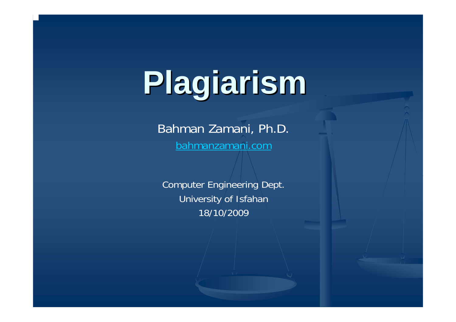# **Plagiarism Plagiarism**

Bahman Zamani, Ph.D. [bahmanzamani.com](http://bahmanzamani.com/)

Computer Engineering Dept. University of Isfahan 18/10/2009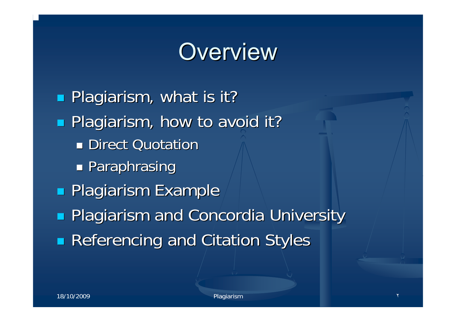## **Overview**

**Plagiarism, what is it? Plagiarism, how to avoid it? Direct Quotation** Ξ **Paraphrasing Plagiarism Example Plagiarism and Concordia University Referencing and Citation Styles**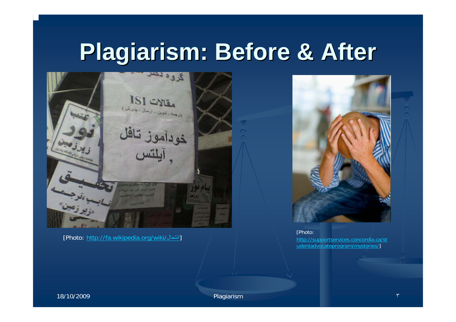## **Plagiarism: Before & After Plagiarism: Before & After**



[Photo: [http://fa.wikipedia.org/wiki/](http://fa.wikipedia.org/wiki/������)انتحال [



[Photo: [http://supportservices.concordia.ca/st](http://supportservices.concordia.ca/studentadvocateprogram/mystories/) [udentadvocateprogram/mystories/\]](http://supportservices.concordia.ca/studentadvocateprogram/mystories/)

18/10/2009 Plagiarism

٣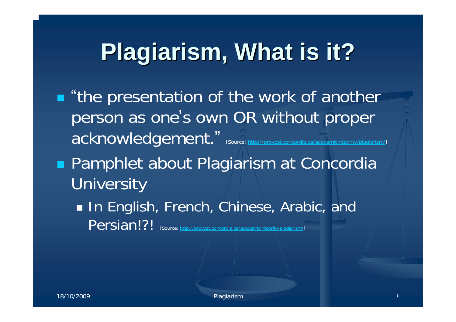## **Plagiarism, What is it? Plagiarism, What is it?**

**.** "the presentation of the work of another person as one's own OR without proper acknowledgement. ".<br>ordia.ca/academicintegrity/plagiarism/] **Pamphlet about Plagiarism at Concordia University** 

**In English, French, Chinese, Arabic, and In** Persian!?! [Source: http://provost.concordia.ca/academicintegrity/plagiarism/]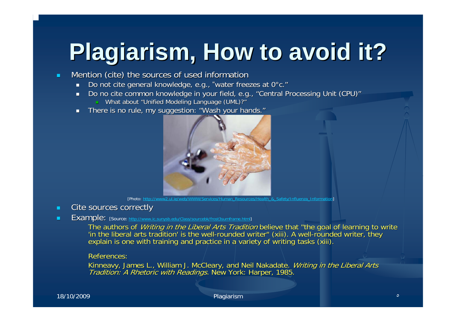## **Plagiarism, How to avoid it? Plagiarism, How to avoid it?**

- ш Mention (cite) the sources of used information
	- $\blacksquare$ Do not cite general knowledge, e.g., "water freezes at 0°c."
	- $\blacksquare$ Do no cite common knowledge in your field, e.g., "Central Processing Unit (CPU)"
		- What about "Unified Modeling Language (UML)?"
	- п There is no rule, my suggestion: "Wash your hands."



[Photo: http://ww

- п Cite sources correctly
- п Example: [Source: <http://www.ic.sunysb.edu/Class/sourcebk/frost3sumframe.html>]

The authors of Writing in the Liberal Arts Tradition believe that "the goal of learning to write The authors of *Writing in the Liberal Arts Tradition* believe that "the goal of learning to write<br>'in the liberal arts tradition' is the well-rounded writer'' (xiii). A well-rounded writer, they explain is one with training and practice in a variety of writing tasks (xiii).

#### References:

Kinneavy, James L., William J. McCleary, and Neil Nakadate. *Writing in the Liberal Arts*<br>*Tradition: A Rhetoric with Readings.* New York: Harper, 1985.

#### 18/10/2009 Plagiarism <sup>٥</sup>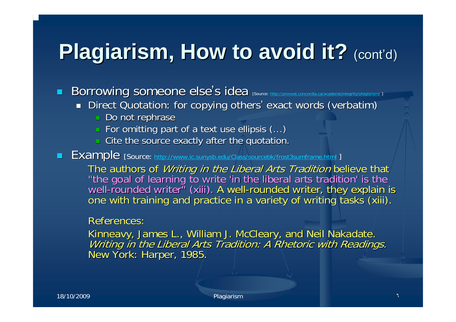## **Plagiarism, How to avoid it?** (cont'd)

 $\blacksquare$ Borrowing someone else's idea [Source: http://provost.concordia.ca/academicintegrity/provost.concordia.ca/academi

- Direct Quotation: for copying others' exact words (verbatim)
	- m. Do not rephrase
	- $\Box$  For omitting part of a text use ellipsis (...)
	- $\lrcorner$  Cite the source exactly after the quotation.

 $\blacksquare$ **Example** [Source: [http://www.ic.sunysb.edu/Class/sourcebk](http://www.ic.sunysb.edu/Class/sourcebk/frost3sumframe.html)/frost3sumframe.html ]

> The authors of *Writing in the Liberal Arts Tradition* believe that<br>"the goal of learning to write 'in the liberal arts tradition' is the<br>well-rounded writer" (xiii). A well-rounded writer, they explain is<br>one with trainin one with training and practice in a variety of writing tasks (xiii).

#### References:

Kinneavy, James L., William J. McCleary, and Neil Nakadate. York: Harper, 1985.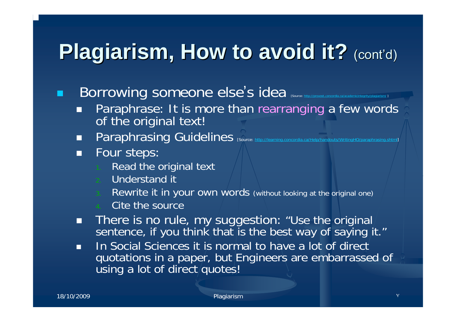## **Plagiarism, How to avoid it?** (cont'd)

p. Borrowing someone else's idea [Source: http://p

- $\mathcal{L}$  Paraphrase: It is more than rearranging a few words of the original text!
- $\mathcal{L}$ Paraphrasing Guidelines [Source: <http://learning.concordia.ca/Help/handouts/WritingHO/paraphrasing.shtml>]
- п Four steps:
	- Read the original text
	- Understand it
	- Rewrite it in your own words (without looking at the original o ne)
	- Cite the source
- П There is no rule, my suggestion: "Use the original sentence, if you think that is the best way of saying it."
- п In Social Sciences it is normal to have a lot of direct quotations in a paper, but Engineers are embarrassed of using a lot of direct/quotes!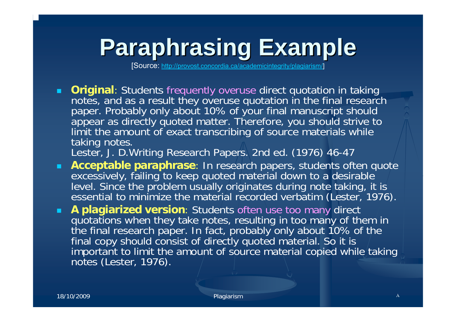## **Paraphrasing Example Paraphrasing Example**

[Source: http://prov[ost.concordia.ca/ac](http://provost.concordia.ca/academicintegrity/plagiarism/)ademicintegrity/plagiarism/]

**Driginal**: Students frequently overuse direct quotation in taking notes, and as a result they overuse quotation in the final research paper. Probably only about 10% of your final manuscript should appear as directly quoted matter. Therefore, you should strive to limit the amount of exact transcribing of source materials while taking notes.

Lester, J. D.Writin g Research Papers. 2nd ed. (1976) 46-47

- $\blacksquare$  **Acceptable paraphrase**: In research papers, students often quote excessively, failing to keep quoted material down to a desirable level. Since the problem usually originates during note taking, it is  $\overline{\phantom{a}}$ essential to minimize the material recorded verbatim (Lester, 1976).
- $\blacksquare$  **A plagiarized version**: Students often use too many direct quotations when they take notes, resulting in too many of them in the final research paper. In fact, probably only about 10% of the final copy should consist of directly quoted material. So it is important to limit the amount of source material copied while taking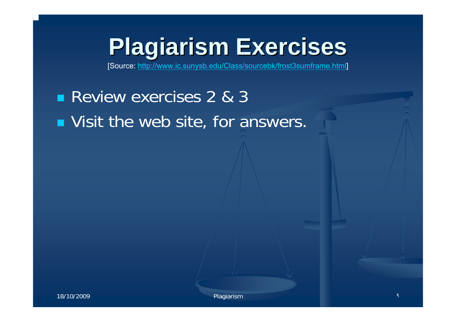## **Plagiarism Exercises Plagiarism Exercises**

[Source: [http://www.ic.sunysb.edu/Class/sourcebk/frost3s](http://www.ic.sunysb.edu/Class/sourcebk/frost3sumframe.html) umframe.html]

### **Review exercises 2 & 3 Notainally Visit the web site, for answers.**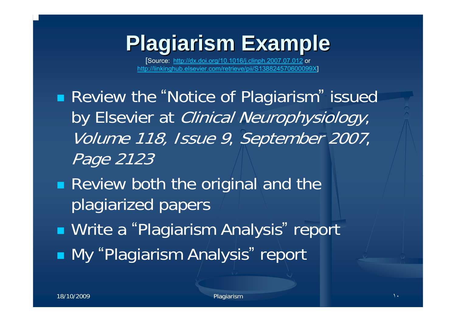## **Plagiarism Example Plagiarism Example**

[Source: [http://dx.doi.org/10.1016/j.clin](http://dx.doi.org/10.1016/j.clinph.2007.07.012) p h.2007.0 7.012 or http://linkinghub.elsevier.co[m/retrieve/pii/S138824570600099X](http://linkinghub.elsevier.com/retrieve/pii/S138824570600099X)]

■ Review the "Notice of Plagiarism" issued by Elsevier at *Clinical Neurophysiology*, Volume 118, Issue 9, September 2007, Page 2123

**Review both the original and the** plagiarized papers

■ Write a "Plagiarism Analysis" report

**Ny "Plagiarism Analysis" report**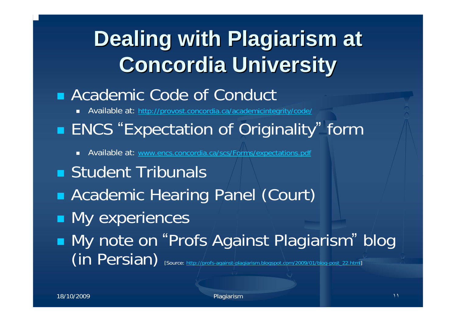## **Dealing with Plagiarism at Concordia University Concordia University**

#### **Academic Code of Conduct**

■ Available at: h[ttp://provost.concordia.ca/academicintegrity/code/](http://provost.concordia.ca/academicintegrity/code/)

#### **ENCS "Expectation of Originality" form**

- $\blacksquare$ Available at: [www.encs.concordia.ca/scs/Forms/expectations.pdf](http://www.encs.concordia.ca/scs/Forms/expectations.pdf)
- **Student Tribunals**
- Academic Hearing Panel (Court)
- **Ny experiences**
- My note on "Profs Against Plagiarism " blog (in Persian) [Source: http://profs-against-plag[iarism.blogspot.com/2009/01](http://profs-against-plagiarism.blogspot.com/2009/01/blog-post_22.html)/blog-post\_22.html]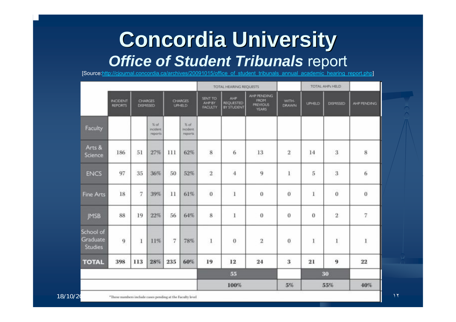#### **Concordia University** *Office of Student Tribunals* report

[Source:<u>http://cjournal.concordia.ca/archives/2009101[5/office\\_of\\_student\\_tribunals\\_annual\\_academic\\_hearing\\_report.php](http://cjournal.concordia.ca/archives/20091015/office_of_student_tribunals_annual_academic_hearing_report.php)</u>

|                                  |                                   |                             |                                 |                                 |                              | TOTAL HEARING REQUESTS               |                                        |                                                               |                | TOTAL AHP\ HELD |                     |                  |
|----------------------------------|-----------------------------------|-----------------------------|---------------------------------|---------------------------------|------------------------------|--------------------------------------|----------------------------------------|---------------------------------------------------------------|----------------|-----------------|---------------------|------------------|
|                                  | <b>INCIDENT</b><br><b>REPORTS</b> | <b>CHARGES</b><br>DISMISSED |                                 | <b>CHARGES</b><br><b>UPHILD</b> |                              | SENT TO<br>AHP BY<br><b>FACLILTY</b> | AHP.<br><b>REQUESTED</b><br>BY STUDENT | AHP PENDING<br><b>FROM</b><br><b>PREVIOUS</b><br><b>YEARS</b> | WITH-<br>DRAWN | <b>UPHELD</b>   | <b>DISMISSED</b>    | AHP PENDING      |
| Faculty                          |                                   |                             | $%$ of<br>incident.<br>reports. |                                 | % of<br>incident.<br>reports |                                      |                                        |                                                               |                |                 |                     |                  |
| Arts &<br>Science                | 186                               | 51                          | 27%                             | 111                             | 62%                          | $\bf 8$                              | 6                                      | 13                                                            | $\overline{2}$ | 14              | $\mathbf{3}$        | 8                |
| <b>ENCS</b>                      | 97                                | 35                          | 36%                             | 50                              | 52%                          | $\overline{2}$                       | $\overline{4}$                         | 9                                                             | $\bf{l}$       | 5               | 3                   | 6                |
| <b>Fine Arts</b>                 | 18                                | $\overline{7}$              | 39%                             | 11                              | 61%                          | $\bf{0}$                             | $\mathbf{1}$                           | $\bf{0}$                                                      | $\overline{0}$ | 1               | $\ddot{\mathbf{0}}$ | $\boldsymbol{0}$ |
| <b>JMSB</b>                      | 88                                | 19                          | 22%                             | 56                              | 64%                          | 8                                    | 1                                      | $\bf{0}$                                                      | 0              | $\bf{0}$        | $\overline{2}$      | 7                |
| School of<br>Graduate<br>Studies | $\overline{9}$                    | 1                           | 11%                             | 7                               | 78%                          | $\!1$                                | $\bf{0}$                               | $\bar{2}$                                                     | 0              | 1               | $\bf 1$             | 1                |
| <b>TOTAL</b>                     | 398                               | 113                         | 28%                             | 235                             | 60%                          | 19                                   | 12                                     | 24                                                            | 3              | 21              | 9                   | $\bf 22$         |
|                                  |                                   |                             |                                 |                                 |                              |                                      | 55                                     |                                                               |                | 30              |                     |                  |
|                                  |                                   |                             |                                 |                                 |                              |                                      | 100%                                   |                                                               | 5%             | 55%             |                     | 40%              |

18/10/20 These numbers include cases pending at the Fuculty level **Internal cases** pending to the Fuculty level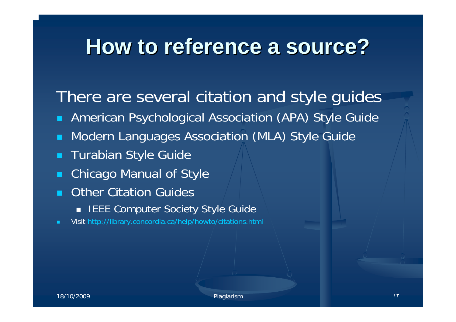### **How to reference a source? How to reference a source?**

There are several citation and style guides

- $\blacksquare$ American Psychological Association (APA) Style Guide
- $\blacksquare$ Modern Languages Association (MLA) Style Guide
- Turabian Style Guide
- п Chicago Manual of Style
- $\blacksquare$  Other Citation Guides
	- IEEE Computer Society Style Guide
- Visit<http://library.concordia.ca/help/howto/citations.html>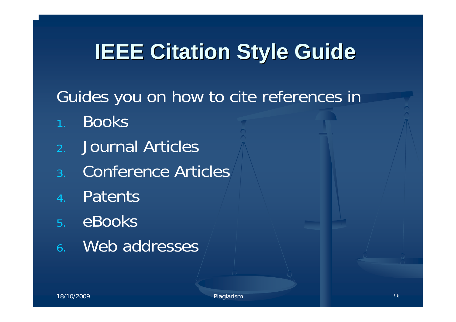## **IEEE Citation Style Guide**

- Guides you on how to cite references in
- Books
- 2.Journal Articles
- 3.Conference Articles
- 4.Patents
- 5. eBooks
- 6. Web addresses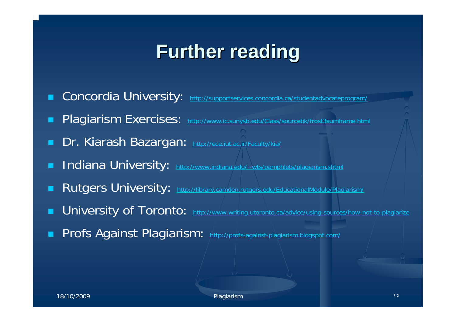### **Further reading Further reading**

- **Concordia University:** http://su[pportservices.concordia.ca/studentadvocateprogram/](http://supportservices.concordia.ca/studentadvocateprogram/)
- Plagiarism Exercises: <http://www.ic.sunysb.edu/Class/sourcebk/frost3sumframe.html>
- **Dr. Kiarash Bazargan:** <http://ece.iut.ac.ir/Faculty/kia/>
- **Indiana University:** http://www.indi[ana.edu/~wts/pa](http://www.indiana.edu/~wts/pamphlets/plagiarism.shtml)mphlets/plagiarism.shtml
- **Rutgers University:** [http://library.camden.rutgers.edu/Educati](http://library.camden.rutgers.edu/EducationalModule/Plagiarism/)onalModule/Plagiarism/
- **u University of Toronto:** [http://www.writing.utoronto.ca/advice/u](http://www.writing.utoronto.ca/advice/using-sources/how-not-to-plagiarize)sing-sources/how-not-to-plagiarize
- Profs Against Plagiarism: <http://profs-against-plagiarism.blogspot.com/>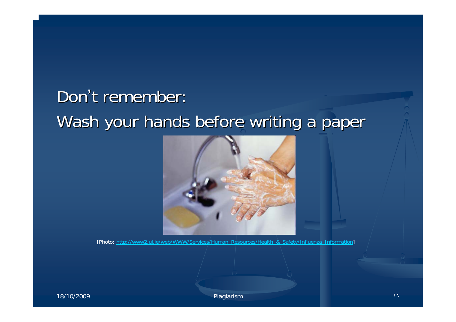#### Don't remember: Wash your hands before writing a paper



[Photo: <u>[http://www2.ul.ie/web/WWW/Services/Human\\_Resources/Health\\_&\\_Safety/Influenza\\_Inform](http://www2.ul.ie/web/WWW/Services/Human_Resources/Health_&_Safety/Influenza_Information)ation</u>]

18/10/2009 **Plagiarism بالمستخدم المتوارد المتوارد ال**مستخدم المتوارد المتوارد المتوارد المتوارد المتوارد المتوار